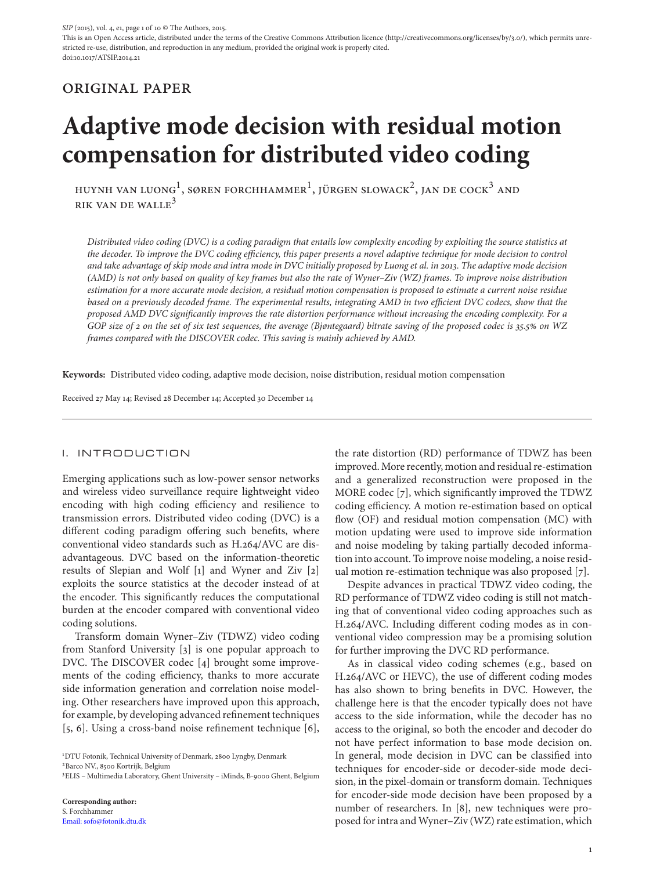This is an Open Access article, distributed under the terms of the Creative Commons Attribution licence (http://creativecommons.org/licenses/by/3.0/), which permits unrestricted re-use, distribution, and reproduction in any medium, provided the original work is properly cited. doi:10.1017/ATSIP.2014.21

## original paper

# **Adaptive mode decision with residual motion compensation for distributed video coding**

HUYNH VAN LUONG<sup>1</sup>, SØREN FORCHHAMMER<sup>1</sup>, JÜRGEN SLOWACK<sup>2</sup>, JAN DE COCK<sup>3</sup> AND RIK VAN DE WALLE<sup>3</sup>

*Distributed video coding (DVC) is a coding paradigm that entails low complexity encoding by exploiting the source statistics at the decoder. To improve the DVC coding efficiency, this paper presents a novel adaptive technique for mode decision to control and take advantage of skip mode and intra mode in DVC initially proposed by Luong et al. in 2013. The adaptive mode decision (AMD) is not only based on quality of key frames but also the rate of Wyner–Ziv (WZ) frames. To improve noise distribution estimation for a more accurate mode decision, a residual motion compensation is proposed to estimate a current noise residue based on a previously decoded frame. The experimental results, integrating AMD in two efficient DVC codecs, show that the proposed AMD DVC significantly improves the rate distortion performance without increasing the encoding complexity. For a GOP size of 2 on the set of six test sequences, the average (Bjøntegaard) bitrate saving of the proposed codec is 35.5 on WZ frames compared with the DISCOVER codec. This saving is mainly achieved by AMD.*

**Keywords:** Distributed video coding, adaptive mode decision, noise distribution, residual motion compensation

Received 27 May 14; Revised 28December 14; Accepted 30 December 14

#### I. INTRODUCTION

Emerging applications such as low-power sensor networks and wireless video surveillance require lightweight video encoding with high coding efficiency and resilience to transmission errors. Distributed video coding (DVC) is a different coding paradigm offering such benefits, where conventional video standards such as H.264/AVC are disadvantageous. DVC based on the information-theoretic results of Slepian and Wolf [1] and Wyner and Ziv [2] exploits the source statistics at the decoder instead of at the encoder. This significantly reduces the computational burden at the encoder compared with conventional video coding solutions.

Transform domain Wyner–Ziv (TDWZ) video coding from Stanford University [3] is one popular approach to DVC. The DISCOVER codec [4] brought some improvements of the coding efficiency, thanks to more accurate side information generation and correlation noise modeling. Other researchers have improved upon this approach, for example, by developing advanced refinement techniques [5, 6]. Using a cross-band noise refinement technique [6],

1 DTU Fotonik, Technical University of Denmark, 2800 Lyngby, Denmark <sup>2</sup> Barco NV., 8500 Kortrijk, Belgium

3 ELIS – Multimedia Laboratory, Ghent University – iMinds, B-9000 Ghent, Belgium

**Corresponding author:** S. Forchhammer [Email: sofo@fotonik.dtu.dk](mailto:sofo@fotonik.dtu.dk) the rate distortion (RD) performance of TDWZ has been improved. More recently, motion and residual re-estimation and a generalized reconstruction were proposed in the MORE codec [7], which significantly improved the TDWZ coding efficiency. A motion re-estimation based on optical flow (OF) and residual motion compensation (MC) with motion updating were used to improve side information and noise modeling by taking partially decoded information into account. To improve noise modeling, a noise residual motion re-estimation technique was also proposed [7].

Despite advances in practical TDWZ video coding, the RD performance of TDWZ video coding is still not matching that of conventional video coding approaches such as H.264/AVC. Including different coding modes as in conventional video compression may be a promising solution for further improving the DVC RD performance.

As in classical video coding schemes (e.g., based on H.264/AVC or HEVC), the use of different coding modes has also shown to bring benefits in DVC. However, the challenge here is that the encoder typically does not have access to the side information, while the decoder has no access to the original, so both the encoder and decoder do not have perfect information to base mode decision on. In general, mode decision in DVC can be classified into techniques for encoder-side or decoder-side mode decision, in the pixel-domain or transform domain. Techniques for encoder-side mode decision have been proposed by a number of researchers. In [8], new techniques were proposed for intra and Wyner–Ziv (WZ) rate estimation, which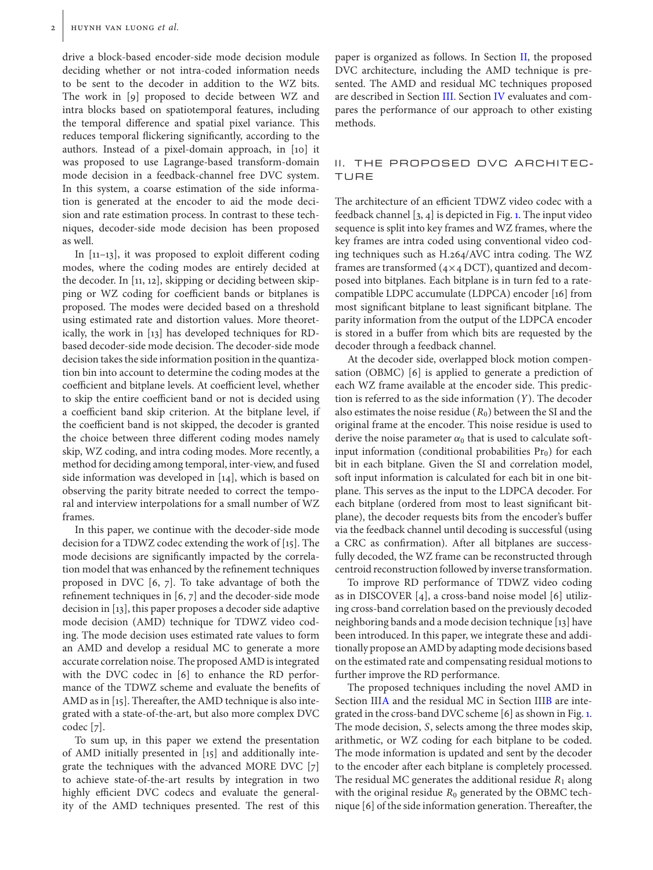drive a block-based encoder-side mode decision module deciding whether or not intra-coded information needs to be sent to the decoder in addition to the WZ bits. The work in [9] proposed to decide between WZ and intra blocks based on spatiotemporal features, including the temporal difference and spatial pixel variance. This reduces temporal flickering significantly, according to the authors. Instead of a pixel-domain approach, in [10] it was proposed to use Lagrange-based transform-domain mode decision in a feedback-channel free DVC system. In this system, a coarse estimation of the side information is generated at the encoder to aid the mode decision and rate estimation process. In contrast to these techniques, decoder-side mode decision has been proposed as well.

In [11–13], it was proposed to exploit different coding modes, where the coding modes are entirely decided at the decoder. In [11, 12], skipping or deciding between skipping or WZ coding for coefficient bands or bitplanes is proposed. The modes were decided based on a threshold using estimated rate and distortion values. More theoretically, the work in [13] has developed techniques for RDbased decoder-side mode decision. The decoder-side mode decision takes the side information position in the quantization bin into account to determine the coding modes at the coefficient and bitplane levels. At coefficient level, whether to skip the entire coefficient band or not is decided using a coefficient band skip criterion. At the bitplane level, if the coefficient band is not skipped, the decoder is granted the choice between three different coding modes namely skip, WZ coding, and intra coding modes. More recently, a method for deciding among temporal, inter-view, and fused side information was developed in [14], which is based on observing the parity bitrate needed to correct the temporal and interview interpolations for a small number of WZ frames.

In this paper, we continue with the decoder-side mode decision for a TDWZ codec extending the work of [15]. The mode decisions are significantly impacted by the correlation model that was enhanced by the refinement techniques proposed in DVC [6, 7]. To take advantage of both the refinement techniques in [6, 7] and the decoder-side mode decision in [13], this paper proposes a decoder side adaptive mode decision (AMD) technique for TDWZ video coding. The mode decision uses estimated rate values to form an AMD and develop a residual MC to generate a more accurate correlation noise. The proposed AMD is integrated with the DVC codec in [6] to enhance the RD performance of the TDWZ scheme and evaluate the benefits of AMD as in [15]. Thereafter, the AMD technique is also integrated with a state-of-the-art, but also more complex DVC codec [7].

To sum up, in this paper we extend the presentation of AMD initially presented in [15] and additionally integrate the techniques with the advanced MORE DVC [7] to achieve state-of-the-art results by integration in two highly efficient DVC codecs and evaluate the generality of the AMD techniques presented. The rest of this paper is organized as follows. In Section [II,](#page-1-0) the proposed DVC architecture, including the AMD technique is presented. The AMD and residual MC techniques proposed are described in Section [III.](#page-2-0) Section [IV](#page-5-0) evaluates and compares the performance of our approach to other existing methods.

#### <span id="page-1-0"></span>II. THE PROPOSED DVC ARCHITEC-TURE

The architecture of an efficient TDWZ video codec with a feedback channel [3, 4] is depicted in Fig. [1.](#page-2-1) The input video sequence is split into key frames and WZ frames, where the key frames are intra coded using conventional video coding techniques such as H.264/AVC intra coding. The WZ frames are transformed  $(4\times4$  DCT), quantized and decomposed into bitplanes. Each bitplane is in turn fed to a ratecompatible LDPC accumulate (LDPCA) encoder [16] from most significant bitplane to least significant bitplane. The parity information from the output of the LDPCA encoder is stored in a buffer from which bits are requested by the decoder through a feedback channel.

At the decoder side, overlapped block motion compensation (OBMC) [6] is applied to generate a prediction of each WZ frame available at the encoder side. This prediction is referred to as the side information (*Y*). The decoder also estimates the noise residue  $(R_0)$  between the SI and the original frame at the encoder. This noise residue is used to derive the noise parameter  $\alpha_0$  that is used to calculate softinput information (conditional probabilities  $Pr_0$ ) for each bit in each bitplane. Given the SI and correlation model, soft input information is calculated for each bit in one bitplane. This serves as the input to the LDPCA decoder. For each bitplane (ordered from most to least significant bitplane), the decoder requests bits from the encoder's buffer via the feedback channel until decoding is successful (using a CRC as confirmation). After all bitplanes are successfully decoded, the WZ frame can be reconstructed through centroid reconstruction followed by inverse transformation.

To improve RD performance of TDWZ video coding as in DISCOVER [4], a cross-band noise model [6] utilizing cross-band correlation based on the previously decoded neighboring bands and a mode decision technique [13] have been introduced. In this paper, we integrate these and additionally propose an AMD by adapting mode decisions based on the estimated rate and compensating residual motions to further improve the RD performance.

The proposed techniques including the novel AMD in Section II[IA](#page-2-2) and the residual MC in Section II[IB](#page-3-0) are integrated in the cross-band DVC scheme [6] as shown in Fig. [1.](#page-2-1) The mode decision, *S*, selects among the three modes skip, arithmetic, or WZ coding for each bitplane to be coded. The mode information is updated and sent by the decoder to the encoder after each bitplane is completely processed. The residual MC generates the additional residue *R*<sup>1</sup> along with the original residue  $R_0$  generated by the OBMC technique [6] of the side information generation. Thereafter, the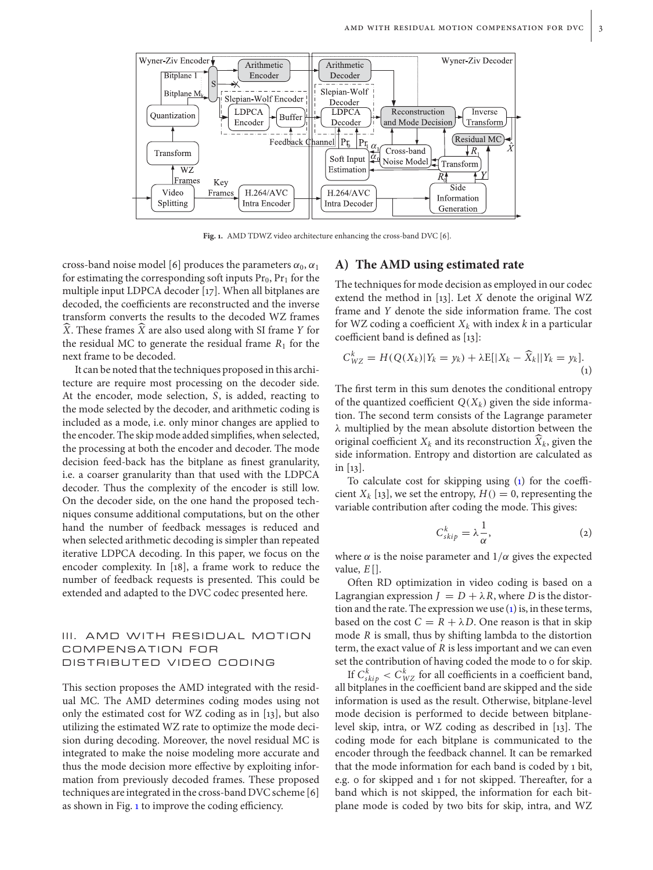

<span id="page-2-1"></span>**Fig. 1.** AMD TDWZ video architecture enhancing the cross-band DVC [6].

cross-band noise model [6] produces the parameters  $\alpha_0$ ,  $\alpha_1$ for estimating the corresponding soft inputs  $Pr_0$ ,  $Pr_1$  for the multiple input LDPCA decoder [17]. When all bitplanes are decoded, the coefficients are reconstructed and the inverse transform converts the results to the decoded WZ frames -*X*. These frames -*X* are also used along with SI frame *Y* for the residual MC to generate the residual frame  $R_1$  for the next frame to be decoded.

It can be noted that the techniques proposed in this architecture are require most processing on the decoder side. At the encoder, mode selection, *S*, is added, reacting to the mode selected by the decoder, and arithmetic coding is included as a mode, i.e. only minor changes are applied to the encoder. The skip mode added simplifies, when selected, the processing at both the encoder and decoder. The mode decision feed-back has the bitplane as finest granularity, i.e. a coarser granularity than that used with the LDPCA decoder. Thus the complexity of the encoder is still low. On the decoder side, on the one hand the proposed techniques consume additional computations, but on the other hand the number of feedback messages is reduced and when selected arithmetic decoding is simpler than repeated iterative LDPCA decoding. In this paper, we focus on the encoder complexity. In [18], a frame work to reduce the number of feedback requests is presented. This could be extended and adapted to the DVC codec presented here.

### <span id="page-2-0"></span>III. AMD WITH RESIDUAL MOTION COMPENSATION FOR DISTRIBUTED VIDEO CODING

This section proposes the AMD integrated with the residual MC. The AMD determines coding modes using not only the estimated cost for WZ coding as in [13], but also utilizing the estimated WZ rate to optimize the mode decision during decoding. Moreover, the novel residual MC is integrated to make the noise modeling more accurate and thus the mode decision more effective by exploiting information from previously decoded frames. These proposed techniques are integrated in the cross-band DVC scheme [6] as shown in Fig. [1](#page-2-1) to improve the coding efficiency.

#### <span id="page-2-2"></span>**A) The AMD using estimated rate**

The techniques for mode decision as employed in our codec extend the method in [13]. Let *X* denote the original WZ frame and *Y* denote the side information frame. The cost for WZ coding a coefficient  $X_k$  with index  $k$  in a particular coefficient band is defined as [13]:

<span id="page-2-3"></span>
$$
C_{WZ}^k = H(Q(X_k)|Y_k = y_k) + \lambda E[|X_k - \widehat{X}_k||Y_k = y_k].
$$
\n(1)

The first term in this sum denotes the conditional entropy of the quantized coefficient  $Q(X_k)$  given the side information. The second term consists of the Lagrange parameter λ multiplied by the mean absolute distortion between the original coefficient  $X_k$  and its reconstruction  $\overline{X}_k$ , given the side information. Entropy and distortion are calculated as in [13].

To calculate cost for skipping using [\(1\)](#page-2-3) for the coefficient  $X_k$  [13], we set the entropy,  $H() = 0$ , representing the variable contribution after coding the mode. This gives:

<span id="page-2-4"></span>
$$
C_{skip}^k = \lambda \frac{1}{\alpha},\tag{2}
$$

where  $\alpha$  is the noise parameter and  $1/\alpha$  gives the expected value, *E* [].

Often RD optimization in video coding is based on a Lagrangian expression  $J = D + \lambda R$ , where *D* is the distortion and the rate. The expression we use [\(1\)](#page-2-3) is, in these terms, based on the cost  $C = R + \lambda D$ . One reason is that in skip mode *R* is small, thus by shifting lambda to the distortion term, the exact value of *R* is less important and we can even set the contribution of having coded the mode to 0 for skip.

If  $C_{skip}^{k} < C_{WZ}^{k}$  for all coefficients in a coefficient band, all bitplanes in the coefficient band are skipped and the side information is used as the result. Otherwise, bitplane-level mode decision is performed to decide between bitplanelevel skip, intra, or WZ coding as described in [13]. The coding mode for each bitplane is communicated to the encoder through the feedback channel. It can be remarked that the mode information for each band is coded by 1 bit, e.g. 0 for skipped and 1 for not skipped. Thereafter, for a band which is not skipped, the information for each bitplane mode is coded by two bits for skip, intra, and WZ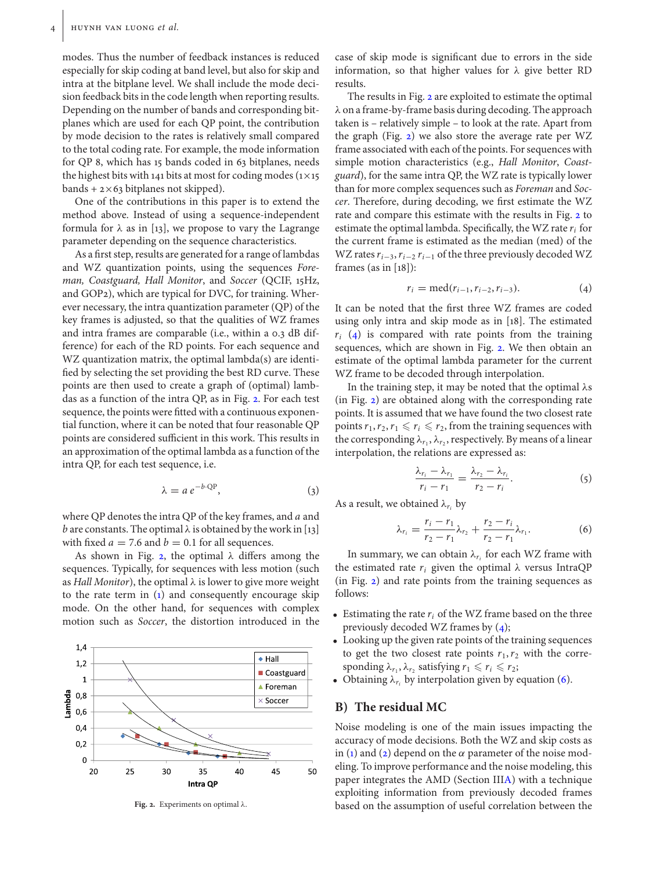modes. Thus the number of feedback instances is reduced especially for skip coding at band level, but also for skip and intra at the bitplane level. We shall include the mode decision feedback bits in the code length when reporting results. Depending on the number of bands and corresponding bitplanes which are used for each QP point, the contribution by mode decision to the rates is relatively small compared to the total coding rate. For example, the mode information for QP 8, which has 15 bands coded in 63 bitplanes, needs the highest bits with 141 bits at most for coding modes ( $1\times15$ bands  $+ 2 \times 63$  bitplanes not skipped).

One of the contributions in this paper is to extend the method above. Instead of using a sequence-independent formula for  $\lambda$  as in [13], we propose to vary the Lagrange parameter depending on the sequence characteristics.

As a first step, results are generated for a range of lambdas and WZ quantization points, using the sequences *Foreman, Coastguard, Hall Monitor*, and *Soccer* (QCIF, 15Hz, and GOP2), which are typical for DVC, for training. Wherever necessary, the intra quantization parameter (QP) of the key frames is adjusted, so that the qualities of WZ frames and intra frames are comparable (i.e., within a 0.3 dB difference) for each of the RD points. For each sequence and WZ quantization matrix, the optimal lambda(s) are identified by selecting the set providing the best RD curve. These points are then used to create a graph of (optimal) lambdas as a function of the intra QP, as in Fig. [2.](#page-3-1) For each test sequence, the points were fitted with a continuous exponential function, where it can be noted that four reasonable QP points are considered sufficient in this work. This results in an approximation of the optimal lambda as a function of the intra QP, for each test sequence, i.e.

$$
\lambda = a e^{-b \cdot \text{QP}},\tag{3}
$$

where QP denotes the intra QP of the key frames, and *a* and *b* are constants. The optimal  $\lambda$  is obtained by the work in [13] with fixed  $a = 7.6$  and  $b = 0.1$  for all sequences.

As shown in Fig. [2,](#page-3-1) the optimal  $\lambda$  differs among the sequences. Typically, for sequences with less motion (such as *Hall Monitor*), the optimal  $\lambda$  is lower to give more weight to the rate term in  $(1)$  and consequently encourage skip mode. On the other hand, for sequences with complex motion such as *Soccer*, the distortion introduced in the



<span id="page-3-1"></span>**Fig. 2.** Experiments on optimal λ.

case of skip mode is significant due to errors in the side information, so that higher values for  $\lambda$  give better RD results.

The results in Fig. [2](#page-3-1) are exploited to estimate the optimal λ on a frame-by-frame basis during decoding. The approach taken is – relatively simple – to look at the rate. Apart from the graph (Fig. [2\)](#page-3-1) we also store the average rate per WZ frame associated with each of the points. For sequences with simple motion characteristics (e.g., *Hall Monitor*, *Coastguard*), for the same intra QP, the WZ rate is typically lower than for more complex sequences such as *Foreman* and *Soccer*. Therefore, during decoding, we first estimate the WZ rate and compare this estimate with the results in Fig. [2](#page-3-1) to estimate the optimal lambda. Specifically, the WZ rate *ri* for the current frame is estimated as the median (med) of the WZ rates*ri*−3,*ri*−<sup>2</sup> *ri*−<sup>1</sup> of the three previously decoded WZ frames (as in [18]):

<span id="page-3-2"></span>
$$
r_i = \text{med}(r_{i-1}, r_{i-2}, r_{i-3}). \tag{4}
$$

It can be noted that the first three WZ frames are coded using only intra and skip mode as in [18]. The estimated  $r_i$  [\(4\)](#page-3-2) is compared with rate points from the training sequences, which are shown in Fig. [2.](#page-3-1) We then obtain an estimate of the optimal lambda parameter for the current WZ frame to be decoded through interpolation.

In the training step, it may be noted that the optimal  $\lambda s$ (in Fig. [2\)](#page-3-1) are obtained along with the corresponding rate points. It is assumed that we have found the two closest rate points  $r_1, r_2, r_1 \leqslant r_i \leqslant r_2$ , from the training sequences with the corresponding  $\lambda_{r_1}, \lambda_{r_2}$ , respectively. By means of a linear interpolation, the relations are expressed as:

$$
\frac{\lambda_{r_i}-\lambda_{r_1}}{r_i-r_1}=\frac{\lambda_{r_2}-\lambda_{r_i}}{r_2-r_i}.
$$
\n(5)

As a result, we obtained  $\lambda_{r_i}$  by

<span id="page-3-3"></span>
$$
\lambda_{r_i} = \frac{r_i - r_1}{r_2 - r_1} \lambda_{r_2} + \frac{r_2 - r_i}{r_2 - r_1} \lambda_{r_1}.
$$
 (6)

In summary, we can obtain  $\lambda_{r_i}$  for each WZ frame with the estimated rate  $r_i$  given the optimal  $\lambda$  versus IntraQP (in Fig. [2\)](#page-3-1) and rate points from the training sequences as follows:

- $\bullet$  Estimating the rate  $r_i$  of the WZ frame based on the three previously decoded WZ frames by [\(4\)](#page-3-2);
- Looking up the given rate points of the training sequences to get the two closest rate points  $r_1, r_2$  with the corresponding  $\lambda_{r_1}, \lambda_{r_2}$  satisfying  $r_1 \leq r_i \leq r_2$ ;
- Obtaining  $\lambda_{r_i}$  by interpolation given by equation [\(6\)](#page-3-3).

#### <span id="page-3-0"></span>**B) The residual MC**

Noise modeling is one of the main issues impacting the accuracy of mode decisions. Both the WZ and skip costs as in [\(1\)](#page-2-3) and [\(2\)](#page-2-4) depend on the  $\alpha$  parameter of the noise modeling. To improve performance and the noise modeling, this paper integrates the AMD (Section II[IA\)](#page-2-2) with a technique exploiting information from previously decoded frames based on the assumption of useful correlation between the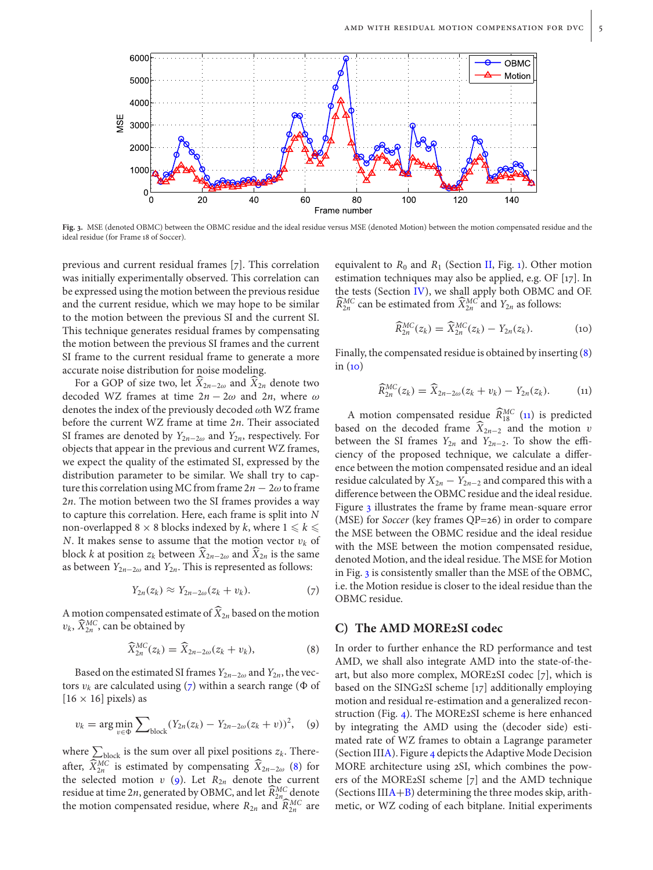

<span id="page-4-5"></span>**Fig. 3.** MSE (denoted OBMC) between the OBMC residue and the ideal residue versus MSE (denoted Motion) between the motion compensated residue and the ideal residue (for Frame 18 of Soccer).

previous and current residual frames [7]. This correlation was initially experimentally observed. This correlation can be expressed using the motion between the previous residue and the current residue, which we may hope to be similar to the motion between the previous SI and the current SI. This technique generates residual frames by compensating the motion between the previous SI frames and the current SI frame to the current residual frame to generate a more accurate noise distribution for noise modeling.

For a GOP of size two, let  $X_{2n-2\omega}$  and  $X_{2n}$  denote two decoded WZ frames at time  $2n - 2\omega$  and  $2n$ , where  $\omega$ denotes the index of the previously decoded  $\omega$ th WZ frame before the current WZ frame at time 2*n*. Their associated SI frames are denoted by *Y*2*n*−2<sup>ω</sup> and *Y*2*n*, respectively. For objects that appear in the previous and current WZ frames, we expect the quality of the estimated SI, expressed by the distribution parameter to be similar. We shall try to capture this correlation using MC from frame  $2n - 2\omega$  to frame 2*n*. The motion between two the SI frames provides a way to capture this correlation. Here, each frame is split into *N* non-overlapped 8  $\times$  8 blocks indexed by *k*, where  $1 \le k \le$ *N*. It makes sense to assume that the motion vector  $v_k$  of block *k* at position  $z_k$  between  $\overline{X}_{2n-2\omega}$  and  $\overline{X}_{2n}$  is the same as between  $Y_{2n-2\omega}$  and  $Y_{2n}$ . This is represented as follows:

<span id="page-4-0"></span>
$$
Y_{2n}(z_k) \approx Y_{2n-2\omega}(z_k + v_k). \tag{7}
$$

A motion compensated estimate of  $\overline{X}_{2n}$  based on the motion  $v_k$ ,  $\widehat{X}_{2n}^{MC}$ , can be obtained by

<span id="page-4-1"></span>
$$
\widehat{X}_{2n}^{MC}(z_k) = \widehat{X}_{2n-2\omega}(z_k + v_k), \tag{8}
$$

Based on the estimated SI frames  $Y_{2n-2\omega}$  and  $Y_{2n}$ , the vectors  $v_k$  are calculated using [\(7\)](#page-4-0) within a search range ( $\Phi$  of  $[16 \times 16]$  pixels) as

<span id="page-4-2"></span>
$$
v_k = \arg\min_{v \in \Phi} \sum_{\text{block}} (Y_{2n}(z_k) - Y_{2n-2\omega}(z_k + v))^2, \quad (9)
$$

where  $\sum_{\text{block}}$  is the sum over all pixel positions  $z_k$ . Thereafter,  $\widehat{X}_{2n}^{MC}$  is estimated by compensating  $\widehat{X}_{2n-2\omega}$  [\(8\)](#page-4-1) for the selected motion  $v$  [\(9\)](#page-4-2). Let  $R_{2n}$  denote the current residue at time 2*n*, generated by OBMC, and let  $\widehat{R}_{2n}^{MC}$  denote the motion compensated residue, where  $R_{2n}$  and  $\widehat{R}_{2n}^{MC}$  are

equivalent to  $R_0$  and  $R_1$  (Section [II,](#page-1-0) Fig. [1\)](#page-2-1). Other motion estimation techniques may also be applied, e.g. OF [17]. In the tests (Section [IV\)](#page-5-0), we shall apply both OBMC and OF.  $\widehat{R}_{2n}^{MC}$  can be estimated from  $\widehat{X}_{2n}^{MC}$  and  $Y_{2n}$  as follows:

<span id="page-4-3"></span>
$$
\widehat{R}_{2n}^{MC}(z_k) = \widehat{X}_{2n}^{MC}(z_k) - Y_{2n}(z_k). \tag{10}
$$

Finally, the compensated residue is obtained by inserting [\(8\)](#page-4-1) in  $(i)$ 

<span id="page-4-4"></span>
$$
\widehat{R}_{2n}^{MC}(z_k) = \widehat{X}_{2n-2\omega}(z_k + v_k) - Y_{2n}(z_k). \tag{11}
$$

A motion compensated residue  $\widehat{R}_{18}^{MC}$  [\(11\)](#page-4-4) is predicted based on the decoded frame  $X_{2n-2}$  and the motion v between the SI frames  $Y_{2n}$  and  $Y_{2n-2}$ . To show the efficiency of the proposed technique, we calculate a difference between the motion compensated residue and an ideal residue calculated by  $X_{2n} - Y_{2n-2}$  and compared this with a difference between the OBMC residue and the ideal residue. Figure [3](#page-4-5) illustrates the frame by frame mean-square error (MSE) for *Soccer* (key frames QP=26) in order to compare the MSE between the OBMC residue and the ideal residue with the MSE between the motion compensated residue, denoted Motion, and the ideal residue. The MSE for Motion in Fig. [3](#page-4-5) is consistently smaller than the MSE of the OBMC, i.e. the Motion residue is closer to the ideal residue than the OBMC residue.

### <span id="page-4-6"></span>**C) The AMD MORE2SI codec**

In order to further enhance the RD performance and test AMD, we shall also integrate AMD into the state-of-theart, but also more complex, MORE2SI codec [7], which is based on the SING2SI scheme [17] additionally employing motion and residual re-estimation and a generalized reconstruction (Fig. [4\)](#page-5-1). The MORE2SI scheme is here enhanced by integrating the AMD using the (decoder side) estimated rate of WZ frames to obtain a Lagrange parameter (Section II[IA\)](#page-2-2). Figure [4](#page-5-1) depicts the Adaptive Mode Decision MORE architecture using 2SI, which combines the powers of the MORE2SI scheme [7] and the AMD technique (Sections  $IIIA+B$  $IIIA+B$  $IIIA+B$ ) determining the three modes skip, arithmetic, or WZ coding of each bitplane. Initial experiments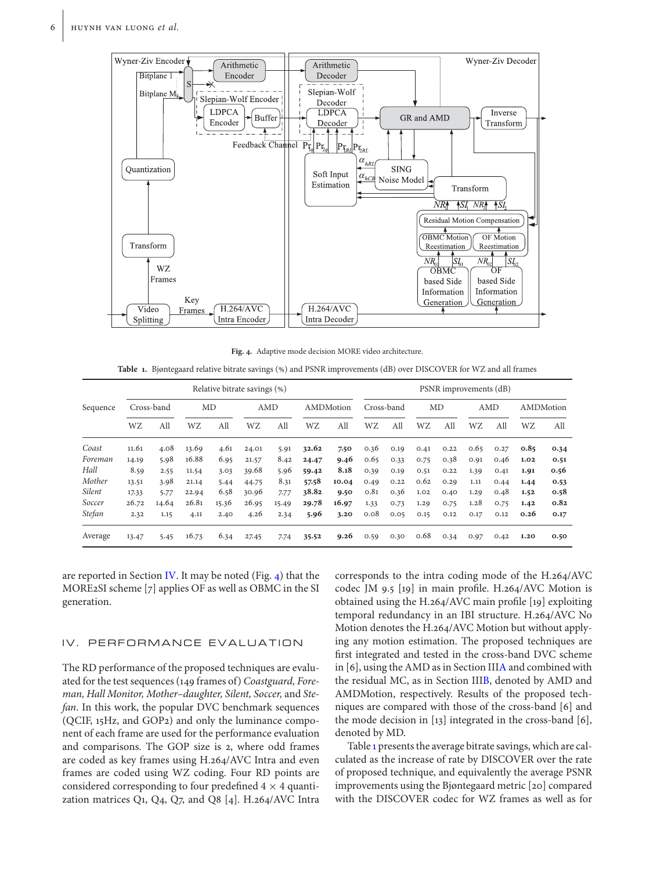

<span id="page-5-1"></span>**Fig. 4.** Adaptive mode decision MORE video architecture.

<span id="page-5-2"></span>Table 1. Bjøntegaard relative bitrate savings (%) and PSNR improvements (dB) over DISCOVER for WZ and all frames

|               |            | Relative bitrate savings (%) |       |       |       |       |           |       |            | PSNR improvements (dB) |      |      |      |      |           |      |  |
|---------------|------------|------------------------------|-------|-------|-------|-------|-----------|-------|------------|------------------------|------|------|------|------|-----------|------|--|
| Sequence      | Cross-band |                              | MD    |       | AMD   |       | AMDMotion |       | Cross-band |                        | MD   |      | AMD  |      | AMDMotion |      |  |
|               | WZ         | All                          | WZ    | All   | WZ    | All   | WZ        | All   | WZ         | All                    | WZ   | All  | WZ   | All  | WZ        | All  |  |
| Coast         | 11.61      | 4.08                         | 13.69 | 4.61  | 24.01 | 5.91  | 32.62     | 7.50  | 0.36       | 0.19                   | 0.41 | 0.22 | 0.65 | 0.27 | 0.85      | 0.34 |  |
| Foreman       | 14.19      | 5.98                         | 16.88 | 6.95  | 21.57 | 8.42  | 24.47     | 9.46  | 0.65       | 0.33                   | 0.75 | 0.38 | 0.91 | 0.46 | 1.02      | 0.51 |  |
| Hall          | 8.59       | 2.55                         | 11.54 | 3.03  | 39.68 | 5.96  | 59.42     | 8.18  | 0.39       | 0.19                   | 0.51 | 0.22 | 1.39 | 0.41 | 1.91      | 0.56 |  |
| Mother        | 13.51      | 3.98                         | 21.14 | 5.44  | 44.75 | 8.31  | 57.58     | 10.04 | 0.49       | 0.22                   | 0.62 | 0.29 | 1.11 | 0.44 | 1.44      | 0.53 |  |
| <b>Silent</b> | 17.33      | 5.77                         | 22.94 | 6.58  | 30.96 | 7.77  | 38.82     | 9.50  | 0.81       | 0.36                   | 1.02 | 0.40 | 1.29 | 0.48 | 1.52      | 0.58 |  |
| Soccer        | 26.72      | 14.64                        | 26.81 | 15.36 | 26.95 | 15.49 | 29.78     | 16.97 | 1.33       | 0.73                   | 1.29 | 0.75 | 1.28 | 0.75 | 1.42      | 0.82 |  |
| <b>Stefan</b> | 2.32       | 1.15                         | 4.11  | 2.40  | 4.26  | 2.34  | 5.96      | 3.20  | 0.08       | 0.05                   | 0.15 | 0.12 | 0.17 | 0.12 | 0.26      | 0.17 |  |
| Average       | 13.47      | 5.45                         | 16.73 | 6.34  | 27.45 | 7.74  | 35.52     | 9.26  | 0.59       | 0.30                   | 0.68 | 0.34 | 0.97 | 0.42 | 1.20      | 0.50 |  |

are reported in Section [IV.](#page-5-0) It may be noted (Fig. [4\)](#page-5-1) that the MORE2SI scheme [7] applies OF as well as OBMC in the SI generation.

### <span id="page-5-0"></span>IV. PERFORMANCE EVALUATION

The RD performance of the proposed techniques are evaluated for the test sequences (149 frames of) *Coastguard, Foreman, Hall Monitor, Mother–daughter, Silent, Soccer,* and *Stefan*. In this work, the popular DVC benchmark sequences (QCIF, 15Hz, and GOP2) and only the luminance component of each frame are used for the performance evaluation and comparisons. The GOP size is 2, where odd frames are coded as key frames using H.264/AVC Intra and even frames are coded using WZ coding. Four RD points are considered corresponding to four predefined  $4 \times 4$  quantization matrices  $Q_1$ ,  $Q_4$ ,  $Q_7$ , and  $Q_8$  [4]. H.264/AVC Intra corresponds to the intra coding mode of the H.264/AVC codec JM 9.5 [19] in main profile. H.264/AVC Motion is obtained using the H.264/AVC main profile [19] exploiting temporal redundancy in an IBI structure. H.264/AVC No Motion denotes the H.264/AVC Motion but without applying any motion estimation. The proposed techniques are first integrated and tested in the cross-band DVC scheme in [6], using the AMD as in Section II[IA](#page-2-2) and combined with the residual MC, as in Section II[IB,](#page-3-0) denoted by AMD and AMDMotion, respectively. Results of the proposed techniques are compared with those of the cross-band [6] and the mode decision in [13] integrated in the cross-band [6], denoted by MD.

Table [1](#page-5-2) presents the average bitrate savings, which are calculated as the increase of rate by DISCOVER over the rate of proposed technique, and equivalently the average PSNR improvements using the Bjøntegaard metric [20] compared with the DISCOVER codec for WZ frames as well as for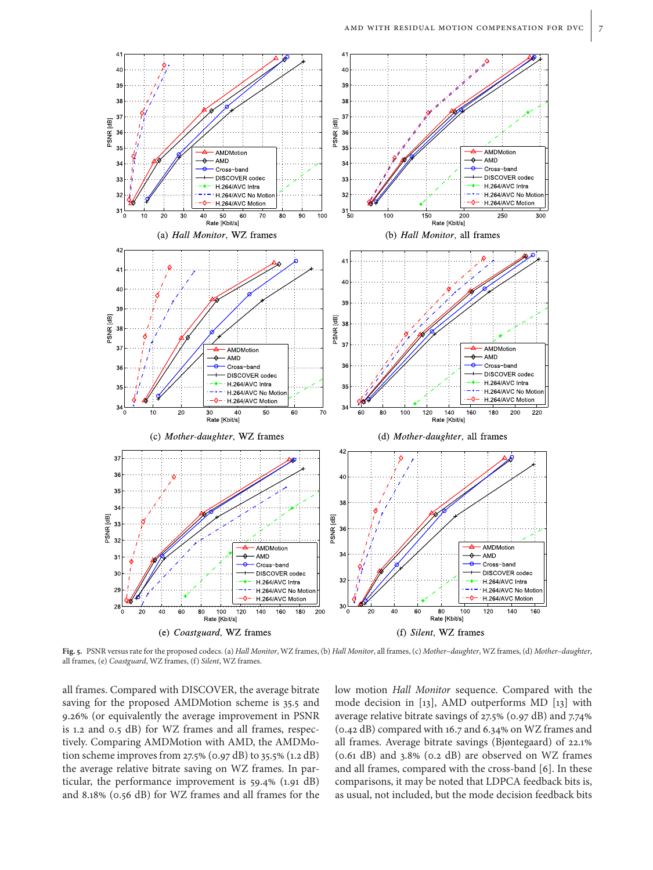

<span id="page-6-0"></span>**Fig. 5.** PSNR versus rate for the proposed codecs. (a) *Hall Monitor*, WZ frames, (b) *Hall Monitor*, all frames, (c) *Mother–daughter*, WZ frames, (d) *Mother–daughter*, all frames, (e) *Coastguard*, WZ frames, (f) *Silent*, WZ frames.

all frames. Compared with DISCOVER, the average bitrate saving for the proposed AMDMotion scheme is 35.5 and 9.26 (or equivalently the average improvement in PSNR is 1.2 and 0.5 dB) for WZ frames and all frames, respectively. Comparing AMDMotion with AMD, the AMDMotion scheme improves from 27.5% (0.97 dB) to 35.5% (1.2 dB) the average relative bitrate saving on WZ frames. In particular, the performance improvement is  $59.4\%$  (1.91 dB) and 8.18% (0.56 dB) for WZ frames and all frames for the low motion *Hall Monitor* sequence. Compared with the mode decision in [13], AMD outperforms MD [13] with average relative bitrate savings of  $27.5\%$  (0.97 dB) and  $7.74\%$ ( $0.42$  dB) compared with 16.7 and  $6.34\%$  on WZ frames and all frames. Average bitrate savings (Bjøntegaard) of 22.1  $(0.61$  dB) and  $3.8\%$   $(0.2$  dB) are observed on WZ frames and all frames, compared with the cross-band [6]. In these comparisons, it may be noted that LDPCA feedback bits is, as usual, not included, but the mode decision feedback bits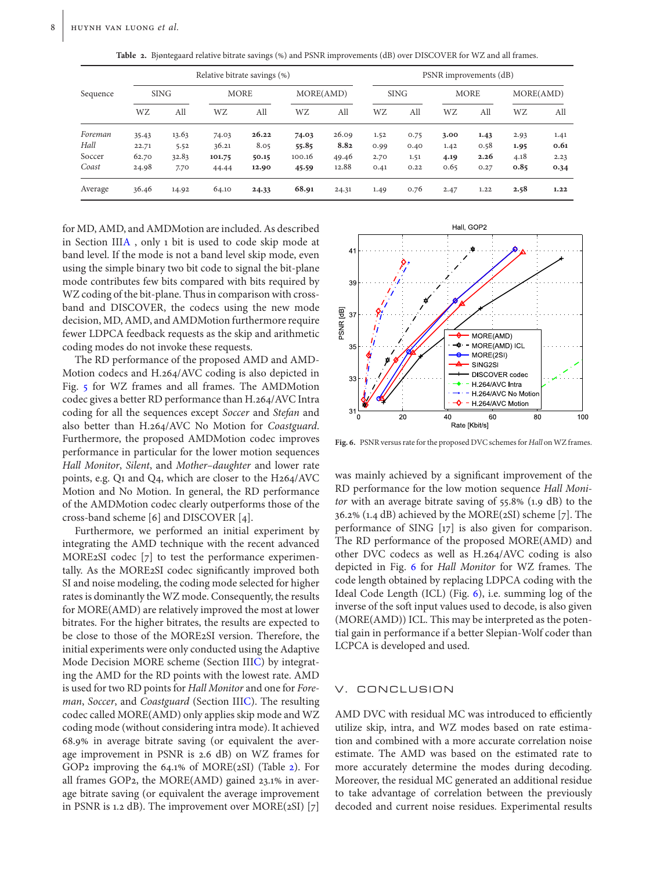| Sequence |       |             | Relative bitrate savings (%) |       |           | PSNR improvements (dB) |             |      |             |      |           |      |  |
|----------|-------|-------------|------------------------------|-------|-----------|------------------------|-------------|------|-------------|------|-----------|------|--|
|          |       | <b>SING</b> | <b>MORE</b>                  |       | MORE(AMD) |                        | <b>SING</b> |      | <b>MORE</b> |      | MORE(AMD) |      |  |
|          | WZ    | All         | WZ                           | All   | WZ        | All                    | WZ          | All  | <b>WZ</b>   | All  | WZ        | All  |  |
| Foreman  | 35.43 | 13.63       | 74.03                        | 26.22 | 74.03     | 26.09                  | 1.52        | 0.75 | 3.00        | 1.43 | 2.93      | 1.41 |  |
| Hall     | 22.71 | 5.52        | 36.21                        | 8.05  | 55.85     | 8.82                   | 0.99        | 0.40 | 1.42        | 0.58 | 1.95      | 0.61 |  |
| Soccer   | 62.70 | 32.83       | 101.75                       | 50.15 | 100.16    | 49.46                  | 2.70        | 1.51 | 4.19        | 2.26 | 4.18      | 2.23 |  |
| Coast    | 24.98 | 7.70        | 44.44                        | 12.90 | 45.59     | 12.88                  | 0.41        | 0.22 | 0.65        | 0.27 | 0.85      | 0.34 |  |
| Average  | 36.46 | 14.92       | 64.10                        | 24.33 | 68.91     | 24.31                  | 1.49        | 0.76 | 2.47        | 1.22 | 2.58      | 1.22 |  |

<span id="page-7-0"></span>Table 2. Bjøntegaard relative bitrate savings (%) and PSNR improvements (dB) over DISCOVER for WZ and all frames.

for MD, AMD, and AMDMotion are included. As described in Section II[IA](#page-2-2) , only 1 bit is used to code skip mode at band level. If the mode is not a band level skip mode, even using the simple binary two bit code to signal the bit-plane mode contributes few bits compared with bits required by WZ coding of the bit-plane. Thus in comparison with crossband and DISCOVER, the codecs using the new mode decision, MD, AMD, and AMDMotion furthermore require fewer LDPCA feedback requests as the skip and arithmetic coding modes do not invoke these requests.

The RD performance of the proposed AMD and AMD-Motion codecs and H.264/AVC coding is also depicted in Fig. [5](#page-6-0) for WZ frames and all frames. The AMDMotion codec gives a better RD performance than H.264/AVC Intra coding for all the sequences except *Soccer* and *Stefan* and also better than H.264/AVC No Motion for *Coastguard*. Furthermore, the proposed AMDMotion codec improves performance in particular for the lower motion sequences *Hall Monitor*, *Silent*, and *Mother–daughter* and lower rate points, e.g. Q1 and Q4, which are closer to the H264/AVC Motion and No Motion. In general, the RD performance of the AMDMotion codec clearly outperforms those of the cross-band scheme [6] and DISCOVER [4].

Furthermore, we performed an initial experiment by integrating the AMD technique with the recent advanced MORE2SI codec [7] to test the performance experimentally. As the MORE2SI codec significantly improved both SI and noise modeling, the coding mode selected for higher rates is dominantly the WZ mode. Consequently, the results for MORE(AMD) are relatively improved the most at lower bitrates. For the higher bitrates, the results are expected to be close to those of the MORE2SI version. Therefore, the initial experiments were only conducted using the Adaptive Mode Decision MORE scheme (Section II[IC\)](#page-4-6) by integrating the AMD for the RD points with the lowest rate. AMD is used for two RD points for *Hall Monitor* and one for *Foreman*, *Soccer*, and *Coastguard* (Section II[IC\)](#page-4-6). The resulting codec called MORE(AMD) only applies skip mode and WZ coding mode (without considering intra mode). It achieved 68.9 in average bitrate saving (or equivalent the average improvement in PSNR is 2.6 dB) on WZ frames for GOP2 improving the  $64.1\%$  of MORE( $2\text{SI}$ ) (Table  $2$ ). For all frames GOP2, the MORE(AMD) gained  $23.1\%$  in average bitrate saving (or equivalent the average improvement in PSNR is 1.2 dB). The improvement over  $MORE(2SI)$  [7]



<span id="page-7-1"></span>Fig. 6. PSNR versus rate for the proposed DVC schemes for *Hall* on WZ frames.

was mainly achieved by a significant improvement of the RD performance for the low motion sequence *Hall Monitor* with an average bitrate saving of 55.8% (1.9 dB) to the  $36.2\%$  (1.4 dB) achieved by the MORE( $2SI$ ) scheme [7]. The performance of SING [17] is also given for comparison. The RD performance of the proposed MORE(AMD) and other DVC codecs as well as H.264/AVC coding is also depicted in Fig. [6](#page-7-1) for *Hall Monitor* for WZ frames. The code length obtained by replacing LDPCA coding with the Ideal Code Length (ICL) (Fig. [6\)](#page-7-1), i.e. summing log of the inverse of the soft input values used to decode, is also given (MORE(AMD)) ICL. This may be interpreted as the potential gain in performance if a better Slepian-Wolf coder than LCPCA is developed and used.

#### V. CONCLUSION

AMD DVC with residual MC was introduced to efficiently utilize skip, intra, and WZ modes based on rate estimation and combined with a more accurate correlation noise estimate. The AMD was based on the estimated rate to more accurately determine the modes during decoding. Moreover, the residual MC generated an additional residue to take advantage of correlation between the previously decoded and current noise residues. Experimental results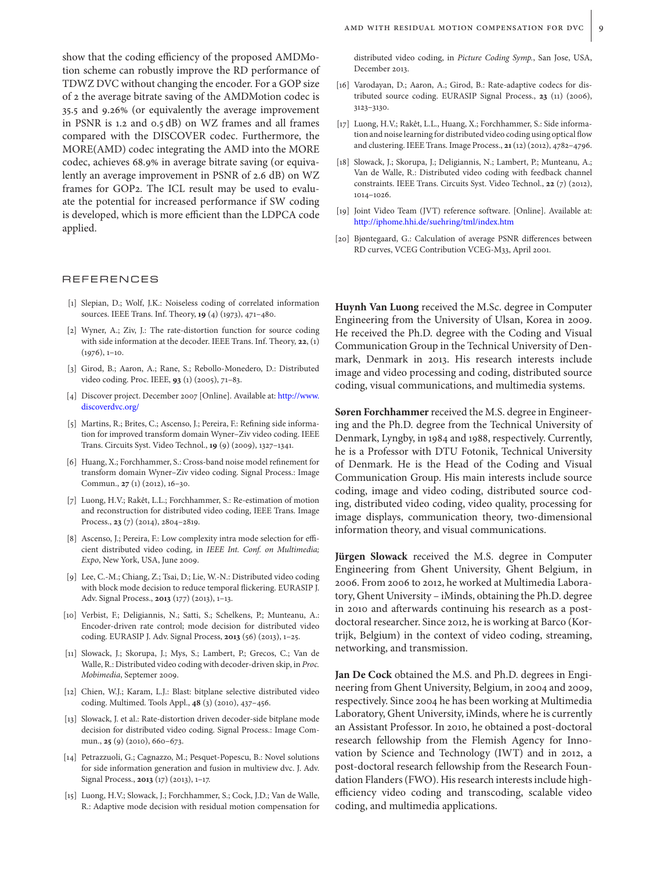show that the coding efficiency of the proposed AMDMotion scheme can robustly improve the RD performance of TDWZ DVC without changing the encoder. For a GOP size of 2 the average bitrate saving of the AMDMotion codec is 35.5 and 9.26 (or equivalently the average improvement in PSNR is 1.2 and 0.5 dB) on WZ frames and all frames compared with the DISCOVER codec. Furthermore, the MORE(AMD) codec integrating the AMD into the MORE codec, achieves 68.9% in average bitrate saving (or equivalently an average improvement in PSNR of 2.6 dB) on WZ frames for GOP2. The ICL result may be used to evaluate the potential for increased performance if SW coding is developed, which is more efficient than the LDPCA code applied.

#### REFERENCES

- [1] Slepian, D.; Wolf, J.K.: Noiseless coding of correlated information sources. IEEE Trans. Inf. Theory, **19** (4) (1973), 471–480.
- [2] Wyner, A.; Ziv, J.: The rate-distortion function for source coding with side information at the decoder. IEEE Trans. Inf. Theory, **22**, (1)  $(1976), 1-10.$
- [3] Girod, B.; Aaron, A.; Rane, S.; Rebollo-Monedero, D.: Distributed video coding. Proc. IEEE, **93** (1) (2005), 71–83.
- [4] Discover project. December 2007 [Online]. Available at: [http://www.](http://www.discoverdvc.org/) [discoverdvc.org/](http://www.discoverdvc.org/)
- [5] Martins, R.; Brites, C.; Ascenso, J.; Pereira, F.: Refining side information for improved transform domain Wyner–Ziv video coding. IEEE Trans. Circuits Syst. Video Technol., **19** (9) (2009), 1327–1341.
- [6] Huang, X.; Forchhammer, S.: Cross-band noise model refinement for transform domain Wyner–Ziv video coding. Signal Process.: Image Commun., **27** (1) (2012), 16–30.
- [7] Luong, H.V.; Rakêt, L.L.; Forchhammer, S.: Re-estimation of motion and reconstruction for distributed video coding, IEEE Trans. Image Process., **23** (7) (2014), 2804–2819.
- [8] Ascenso, J.; Pereira, F.: Low complexity intra mode selection for efficient distributed video coding, in *IEEE Int. Conf. on Multimedia; Expo*, New York, USA, June 2009.
- [9] Lee, C.-M.; Chiang, Z.; Tsai, D.; Lie, W.-N.: Distributed video coding with block mode decision to reduce temporal flickering. EURASIP J. Adv. Signal Process., **2013** (177) (2013), 1–13.
- [10] Verbist, F.; Deligiannis, N.; Satti, S.; Schelkens, P.; Munteanu, A.: Encoder-driven rate control; mode decision for distributed video coding. EURASIP J. Adv. Signal Process, **2013** (56) (2013), 1–25.
- [11] Slowack, J.; Skorupa, J.; Mys, S.; Lambert, P.; Grecos, C.; Van de Walle, R.: Distributed video coding with decoder-driven skip, in *Proc. Mobimedia*, Septemer 2009.
- [12] Chien, W.J.; Karam, L.J.: Blast: bitplane selective distributed video coding. Multimed. Tools Appl., **48** (3) (2010), 437–456.
- [13] Slowack, J. et al.: Rate-distortion driven decoder-side bitplane mode decision for distributed video coding. Signal Process.: Image Commun., **25** (9) (2010), 660–673.
- [14] Petrazzuoli, G.; Cagnazzo, M.; Pesquet-Popescu, B.: Novel solutions for side information generation and fusion in multiview dvc. J. Adv. Signal Process., **2013** (17) (2013), 1–17.
- [15] Luong, H.V.; Slowack, J.; Forchhammer, S.; Cock, J.D.; Van de Walle, R.: Adaptive mode decision with residual motion compensation for

distributed video coding, in *Picture Coding Symp.*, San Jose, USA, December 2013.

- [16] Varodayan, D.; Aaron, A.; Girod, B.: Rate-adaptive codecs for distributed source coding. EURASIP Signal Process., **23** (11) (2006), 3123–3130.
- [17] Luong, H.V.; Rakêt, L.L., Huang, X.; Forchhammer, S.: Side information and noise learning for distributed video coding using optical flow and clustering. IEEE Trans. Image Process., **21**(12) (2012), 4782–4796.
- [18] Slowack, J.; Skorupa, J.; Deligiannis, N.; Lambert, P.; Munteanu, A.; Van de Walle, R.: Distributed video coding with feedback channel constraints. IEEE Trans. Circuits Syst. Video Technol., **22** (7) (2012), 1014–1026.
- [19] Joint Video Team (JVT) reference software. [Online]. Available at: <http://iphome.hhi.de/suehring/tml/index.htm>
- [20] Bjøntegaard, G.: Calculation of average PSNR differences between RD curves, VCEG Contribution VCEG-M33, April 2001.

**Huynh Van Luong** received the M.Sc. degree in Computer Engineering from the University of Ulsan, Korea in 2009. He received the Ph.D. degree with the Coding and Visual Communication Group in the Technical University of Denmark, Denmark in 2013. His research interests include image and video processing and coding, distributed source coding, visual communications, and multimedia systems.

**Søren Forchhammer** received the M.S. degree in Engineering and the Ph.D. degree from the Technical University of Denmark, Lyngby, in 1984 and 1988, respectively. Currently, he is a Professor with DTU Fotonik, Technical University of Denmark. He is the Head of the Coding and Visual Communication Group. His main interests include source coding, image and video coding, distributed source coding, distributed video coding, video quality, processing for image displays, communication theory, two-dimensional information theory, and visual communications.

**Jürgen Slowack** received the M.S. degree in Computer Engineering from Ghent University, Ghent Belgium, in 2006. From 2006 to 2012, he worked at Multimedia Laboratory, Ghent University – iMinds, obtaining the Ph.D. degree in 2010 and afterwards continuing his research as a postdoctoral researcher. Since 2012, he is working at Barco (Kortrijk, Belgium) in the context of video coding, streaming, networking, and transmission.

**Jan De Cock** obtained the M.S. and Ph.D. degrees in Engineering from Ghent University, Belgium, in 2004 and 2009, respectively. Since 2004 he has been working at Multimedia Laboratory, Ghent University, iMinds, where he is currently an Assistant Professor. In 2010, he obtained a post-doctoral research fellowship from the Flemish Agency for Innovation by Science and Technology (IWT) and in 2012, a post-doctoral research fellowship from the Research Foundation Flanders (FWO). His research interests include highefficiency video coding and transcoding, scalable video coding, and multimedia applications.